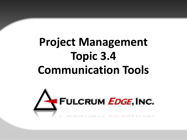# **Project Management Topic 3.4 Communication Tools**

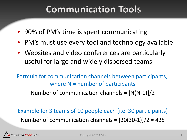## **Communication Tools**

- 90% of PM's time is spent communicating
- PM's must use every tool and technology available
- Websites and video conferences are particularly useful for large and widely dispersed teams

Formula for communication channels between participants, where  $N =$  number of participants

Number of communication channels =  $[N(N-1)]/2$ 

Example for 3 teams of 10 people each (i.e. 30 participants) Number of communication channels =  $[30(30-1)]/2 = 435$ 

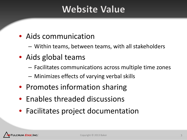## **Website Value**

#### • Aids communication

- Within teams, between teams, with all stakeholders
- Aids global teams
	- Facilitates communications across multiple time zones
	- Minimizes effects of varying verbal skills
- Promotes information sharing
- Enables threaded discussions
- Facilitates project documentation

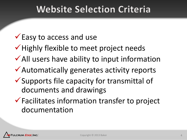## **Website Selection Criteria**

#### $\checkmark$  Easy to access and use

- $\checkmark$  Highly flexible to meet project needs
- $\checkmark$  All users have ability to input information
- Automatically generates activity reports
- $\checkmark$  Supports file capacity for transmittal of documents and drawings
- $\checkmark$  Facilitates information transfer to project documentation

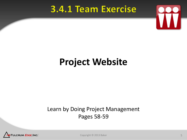### 3.4.1 Team Exercise



# **Project Website**

#### Learn by Doing Project Management Pages 58-59



Copyright © 2013 Baker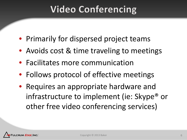# **Video Conferencing**

- Primarily for dispersed project teams
- Avoids cost & time traveling to meetings
- Facilitates more communication
- Follows protocol of effective meetings
- Requires an appropriate hardware and infrastructure to implement (ie: Skype® or other free video conferencing services)

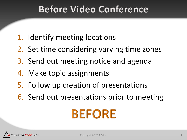## **Before Video Conference**

- 1. Identify meeting locations
- 2. Set time considering varying time zones
- 3. Send out meeting notice and agenda
- 4. Make topic assignments
- 5. Follow up creation of presentations
- 6. Send out presentations prior to meeting

# **BEFORE**

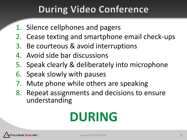# **During Video Conference**

- 1. Silence cellphones and pagers
- 2. Cease texting and smartphone email check-ups
- 3. Be courteous & avoid interruptions
- 4. Avoid side bar discussions
- 5. Speak clearly & deliberately into microphone
- 6. Speak slowly with pauses
- 7. Mute phone while others are speaking
- 8. Repeat assignments and decisions to ensure understanding

# **DURING**

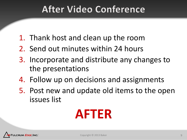## **After Video Conference**

- 1. Thank host and clean up the room
- 2. Send out minutes within 24 hours
- 3. Incorporate and distribute any changes to the presentations
- 4. Follow up on decisions and assignments
- 5. Post new and update old items to the open issues list

# **AFTER**

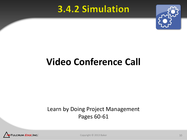#### 3.4.2 Simulation



# **Video Conference Call**

#### Learn by Doing Project Management Pages 60-61



Copyright © 2013 Baker